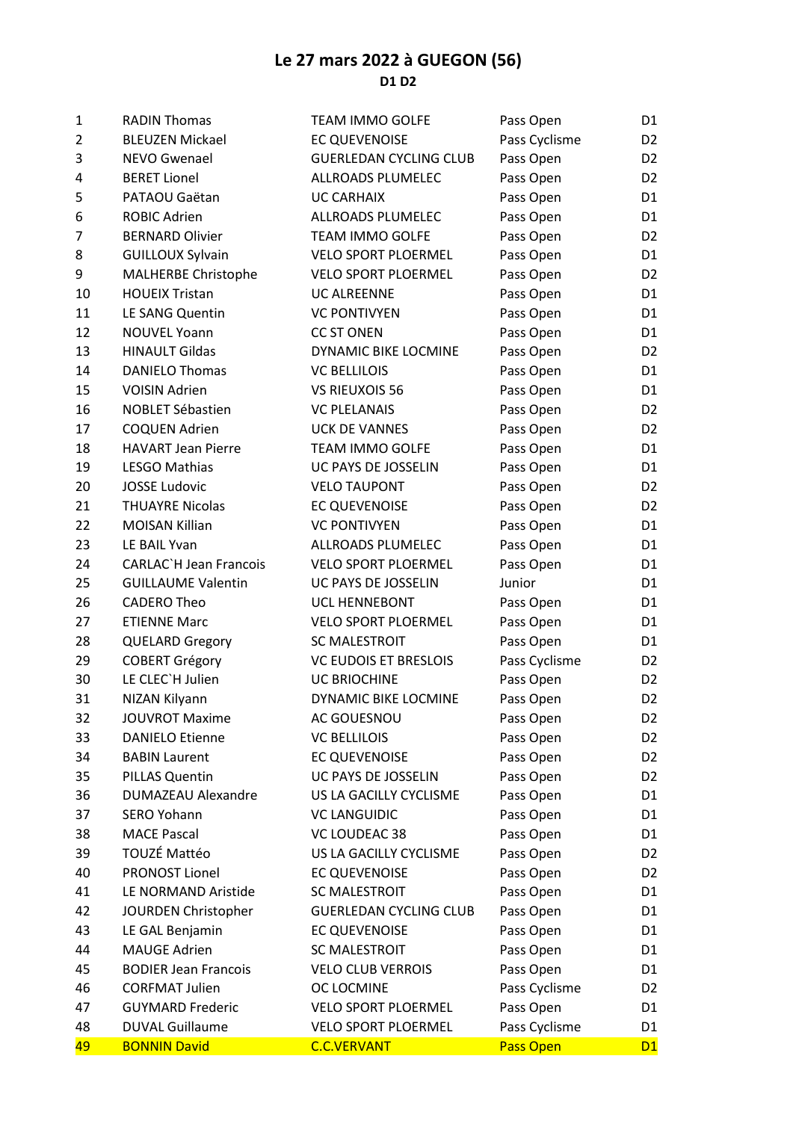## Le 27 mars 2022 à GUEGON (56) D1 D2

| $\mathbf{1}$   | <b>RADIN Thomas</b>           | <b>TEAM IMMO GOLFE</b>        | Pass Open     | D <sub>1</sub> |
|----------------|-------------------------------|-------------------------------|---------------|----------------|
| $\overline{2}$ | <b>BLEUZEN Mickael</b>        | <b>EC QUEVENOISE</b>          | Pass Cyclisme | D <sub>2</sub> |
| 3              | NEVO Gwenael                  | <b>GUERLEDAN CYCLING CLUB</b> | Pass Open     | D <sub>2</sub> |
| 4              | <b>BERET Lionel</b>           | ALLROADS PLUMELEC             | Pass Open     | D <sub>2</sub> |
| 5              | PATAOU Gaëtan                 | <b>UC CARHAIX</b>             | Pass Open     | D1             |
| 6              | <b>ROBIC Adrien</b>           | ALLROADS PLUMELEC             | Pass Open     | D <sub>1</sub> |
| $\overline{7}$ | <b>BERNARD Olivier</b>        | <b>TEAM IMMO GOLFE</b>        | Pass Open     | D <sub>2</sub> |
| 8              | <b>GUILLOUX Sylvain</b>       | VELO SPORT PLOERMEL           | Pass Open     | D <sub>1</sub> |
| 9              | <b>MALHERBE Christophe</b>    | <b>VELO SPORT PLOERMEL</b>    | Pass Open     | D <sub>2</sub> |
| 10             | <b>HOUEIX Tristan</b>         | <b>UC ALREENNE</b>            | Pass Open     | D <sub>1</sub> |
| 11             | LE SANG Quentin               | <b>VC PONTIVYEN</b>           | Pass Open     | D <sub>1</sub> |
| 12             | <b>NOUVEL Yoann</b>           | <b>CC ST ONEN</b>             | Pass Open     | D1             |
| 13             | <b>HINAULT Gildas</b>         | DYNAMIC BIKE LOCMINE          | Pass Open     | D <sub>2</sub> |
| 14             | <b>DANIELO Thomas</b>         | <b>VC BELLILOIS</b>           | Pass Open     | D <sub>1</sub> |
| 15             | <b>VOISIN Adrien</b>          | <b>VS RIEUXOIS 56</b>         | Pass Open     | D <sub>1</sub> |
| 16             | <b>NOBLET Sébastien</b>       | <b>VC PLELANAIS</b>           | Pass Open     | D <sub>2</sub> |
| 17             | <b>COQUEN Adrien</b>          | <b>UCK DE VANNES</b>          | Pass Open     | D <sub>2</sub> |
| 18             | <b>HAVART Jean Pierre</b>     | <b>TEAM IMMO GOLFE</b>        | Pass Open     | D1             |
| 19             | <b>LESGO Mathias</b>          | UC PAYS DE JOSSELIN           | Pass Open     | D <sub>1</sub> |
| 20             | <b>JOSSE Ludovic</b>          | <b>VELO TAUPONT</b>           | Pass Open     | D <sub>2</sub> |
| 21             | <b>THUAYRE Nicolas</b>        | EC QUEVENOISE                 | Pass Open     | D <sub>2</sub> |
| 22             | <b>MOISAN Killian</b>         | <b>VC PONTIVYEN</b>           | Pass Open     | D <sub>1</sub> |
| 23             | LE BAIL Yvan                  | ALLROADS PLUMELEC             | Pass Open     | D1             |
| 24             | <b>CARLAC'H Jean Francois</b> | <b>VELO SPORT PLOERMEL</b>    | Pass Open     | D1             |
| 25             | <b>GUILLAUME Valentin</b>     | UC PAYS DE JOSSELIN           | Junior        | D1             |
| 26             | <b>CADERO Theo</b>            | UCL HENNEBONT                 | Pass Open     | D <sub>1</sub> |
| 27             | <b>ETIENNE Marc</b>           | <b>VELO SPORT PLOERMEL</b>    | Pass Open     | D <sub>1</sub> |
| 28             | <b>QUELARD Gregory</b>        | <b>SC MALESTROIT</b>          | Pass Open     | D <sub>1</sub> |
| 29             | <b>COBERT Grégory</b>         | <b>VC EUDOIS ET BRESLOIS</b>  | Pass Cyclisme | D <sub>2</sub> |
| 30             | LE CLEC'H Julien              | <b>UC BRIOCHINE</b>           | Pass Open     | D <sub>2</sub> |
| 31             | NIZAN Kilyann                 | DYNAMIC BIKE LOCMINE          | Pass Open     | D <sub>2</sub> |
| 32             | <b>JOUVROT Maxime</b>         | AC GOUESNOU                   | Pass Open     | D <sub>2</sub> |
| 33             | <b>DANIELO Etienne</b>        | <b>VC BELLILOIS</b>           | Pass Open     | D <sub>2</sub> |
| 34             | <b>BABIN Laurent</b>          | EC QUEVENOISE                 | Pass Open     | D <sub>2</sub> |
| 35             | PILLAS Quentin                | UC PAYS DE JOSSELIN           | Pass Open     | D <sub>2</sub> |
| 36             | <b>DUMAZEAU Alexandre</b>     | US LA GACILLY CYCLISME        | Pass Open     | D1             |
| 37             | <b>SERO Yohann</b>            | <b>VC LANGUIDIC</b>           | Pass Open     | D1             |
| 38             | <b>MACE Pascal</b>            | VC LOUDEAC 38                 | Pass Open     | D1             |
| 39             | TOUZÉ Mattéo                  | US LA GACILLY CYCLISME        | Pass Open     | D <sub>2</sub> |
| 40             | <b>PRONOST Lionel</b>         | EC QUEVENOISE                 | Pass Open     | D <sub>2</sub> |
| 41             | LE NORMAND Aristide           | <b>SC MALESTROIT</b>          | Pass Open     | D <sub>1</sub> |
| 42             | JOURDEN Christopher           | <b>GUERLEDAN CYCLING CLUB</b> | Pass Open     | D1             |
| 43             | LE GAL Benjamin               | EC QUEVENOISE                 | Pass Open     | D1             |
| 44             | <b>MAUGE Adrien</b>           | SC MALESTROIT                 | Pass Open     | D <sub>1</sub> |
| 45             | <b>BODIER Jean Francois</b>   | <b>VELO CLUB VERROIS</b>      | Pass Open     | D1             |
| 46             | <b>CORFMAT Julien</b>         | OC LOCMINE                    | Pass Cyclisme | D <sub>2</sub> |
| 47             | <b>GUYMARD Frederic</b>       | <b>VELO SPORT PLOERMEL</b>    | Pass Open     | D1             |
| 48             | <b>DUVAL Guillaume</b>        | VELO SPORT PLOERMEL           | Pass Cyclisme | D1             |
| 49             | <b>BONNIN David</b>           | <b>C.C.VERVANT</b>            | Pass Open     | D1             |